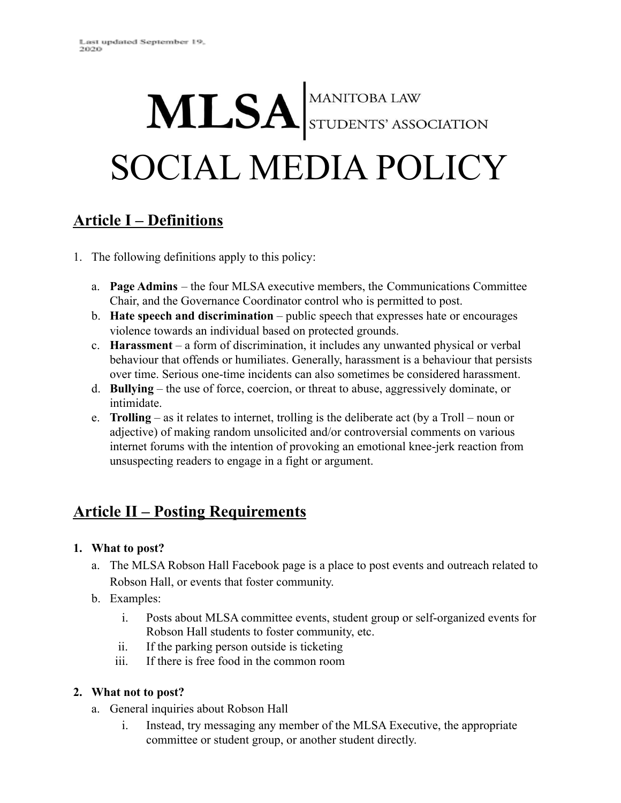# MLSA STUDENTS' ASSOCIATION SOCIAL MEDIA POLICY

## **Article I – Definitions**

- 1. The following definitions apply to this policy:
	- a. **Page Admins** the four MLSA executive members, the Communications Committee Chair, and the Governance Coordinator control who is permitted to post.
	- b. **Hate speech and discrimination** public speech that expresses hate or encourages violence towards an individual based on protected grounds.
	- c. **Harassment** a form of discrimination, it includes any unwanted physical or verbal behaviour that offends or humiliates. Generally, harassment is a behaviour that persists over time. Serious one-time incidents can also sometimes be considered harassment.
	- d. **Bullying** the use of force, coercion, or threat to abuse, aggressively dominate, or intimidate.
	- e. **Trolling** as it relates to internet, trolling is the deliberate act (by a Troll noun or adjective) of making random unsolicited and/or controversial comments on various internet forums with the intention of provoking an emotional knee-jerk reaction from unsuspecting readers to engage in a fight or argument.

## **Article II – Posting Requirements**

#### **1. What to post?**

- a. The MLSA Robson Hall Facebook page is a place to post events and outreach related to Robson Hall, or events that foster community.
- b. Examples:
	- i. Posts about MLSA committee events, student group or self-organized events for Robson Hall students to foster community, etc.
	- ii. If the parking person outside is ticketing
	- iii. If there is free food in the common room

#### **2. What not to post?**

- a. General inquiries about Robson Hall
	- i. Instead, try messaging any member of the MLSA Executive, the appropriate committee or student group, or another student directly.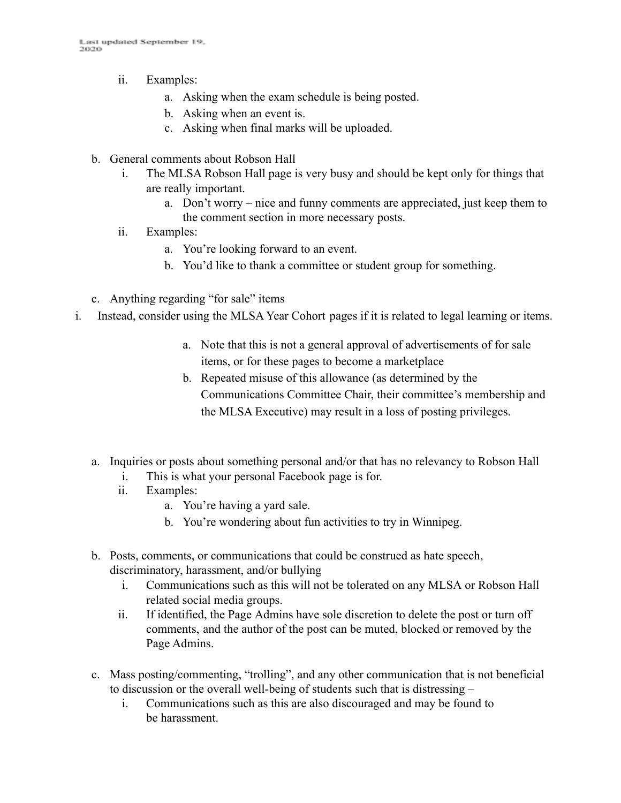- ii. Examples:
	- a. Asking when the exam schedule is being posted.
	- b. Asking when an event is.
	- c. Asking when final marks will be uploaded.
- b. General comments about Robson Hall
	- i. The MLSA Robson Hall page is very busy and should be kept only for things that are really important.
		- a. Don't worry nice and funny comments are appreciated, just keep them to the comment section in more necessary posts.
	- ii. Examples:
		- a. You're looking forward to an event.
		- b. You'd like to thank a committee or student group for something.
- c. Anything regarding "for sale" items
- i. Instead, consider using the MLSA Year Cohort pages if it is related to legal learning or items.
	- a. Note that this is not a general approval of advertisements of for sale items, or for these pages to become a marketplace
	- b. Repeated misuse of this allowance (as determined by the Communications Committee Chair, their committee's membership and the MLSA Executive) may result in a loss of posting privileges.
	- a. Inquiries or posts about something personal and/or that has no relevancy to Robson Hall
		- i. This is what your personal Facebook page is for.
		- ii. Examples:
			- a. You're having a yard sale.
			- b. You're wondering about fun activities to try in Winnipeg.
	- b. Posts, comments, or communications that could be construed as hate speech, discriminatory, harassment, and/or bullying
		- i. Communications such as this will not be tolerated on any MLSA or Robson Hall related social media groups.
		- ii. If identified, the Page Admins have sole discretion to delete the post or turn off comments, and the author of the post can be muted, blocked or removed by the Page Admins.
	- c. Mass posting/commenting, "trolling", and any other communication that is not beneficial to discussion or the overall well-being of students such that is distressing –
		- i. Communications such as this are also discouraged and may be found to be harassment.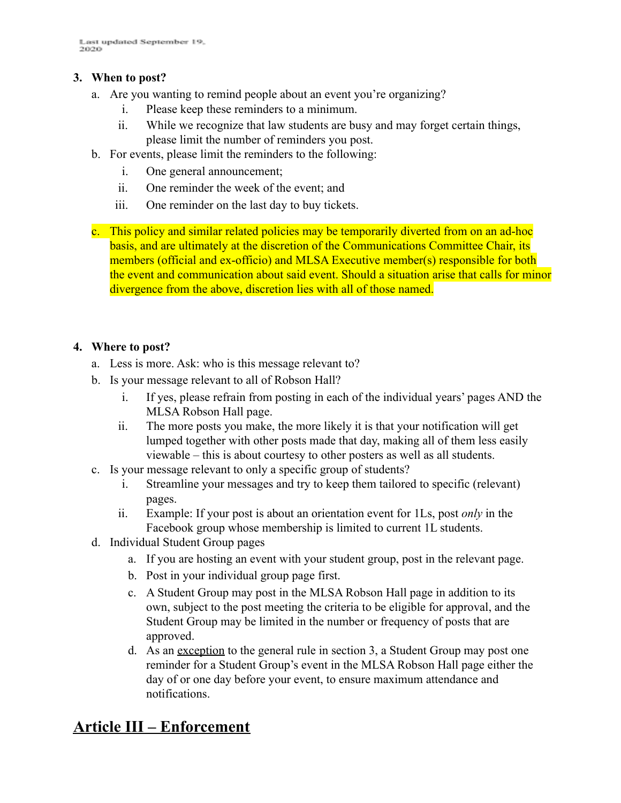#### **3. When to post?**

- a. Are you wanting to remind people about an event you're organizing?
	- i. Please keep these reminders to a minimum.
	- ii. While we recognize that law students are busy and may forget certain things, please limit the number of reminders you post.
- b. For events, please limit the reminders to the following:
	- i. One general announcement;
	- ii. One reminder the week of the event; and
	- iii. One reminder on the last day to buy tickets.
- c. This policy and similar related policies may be temporarily diverted from on an ad-hoc basis, and are ultimately at the discretion of the Communications Committee Chair, its members (official and ex-officio) and MLSA Executive member(s) responsible for both the event and communication about said event. Should a situation arise that calls for minor divergence from the above, discretion lies with all of those named.

#### **4. Where to post?**

- a. Less is more. Ask: who is this message relevant to?
- b. Is your message relevant to all of Robson Hall?
	- i. If yes, please refrain from posting in each of the individual years' pages AND the MLSA Robson Hall page.
	- ii. The more posts you make, the more likely it is that your notification will get lumped together with other posts made that day, making all of them less easily viewable – this is about courtesy to other posters as well as all students.
- c. Is your message relevant to only a specific group of students?
	- i. Streamline your messages and try to keep them tailored to specific (relevant) pages.
	- ii. Example: If your post is about an orientation event for 1Ls, post *only* in the Facebook group whose membership is limited to current 1L students.
- d. Individual Student Group pages
	- a. If you are hosting an event with your student group, post in the relevant page.
	- b. Post in your individual group page first.
	- c. A Student Group may post in the MLSA Robson Hall page in addition to its own, subject to the post meeting the criteria to be eligible for approval, and the Student Group may be limited in the number or frequency of posts that are approved.
	- d. As an exception to the general rule in section 3, a Student Group may post one reminder for a Student Group's event in the MLSA Robson Hall page either the day of or one day before your event, to ensure maximum attendance and notifications.

### **Article III – Enforcement**